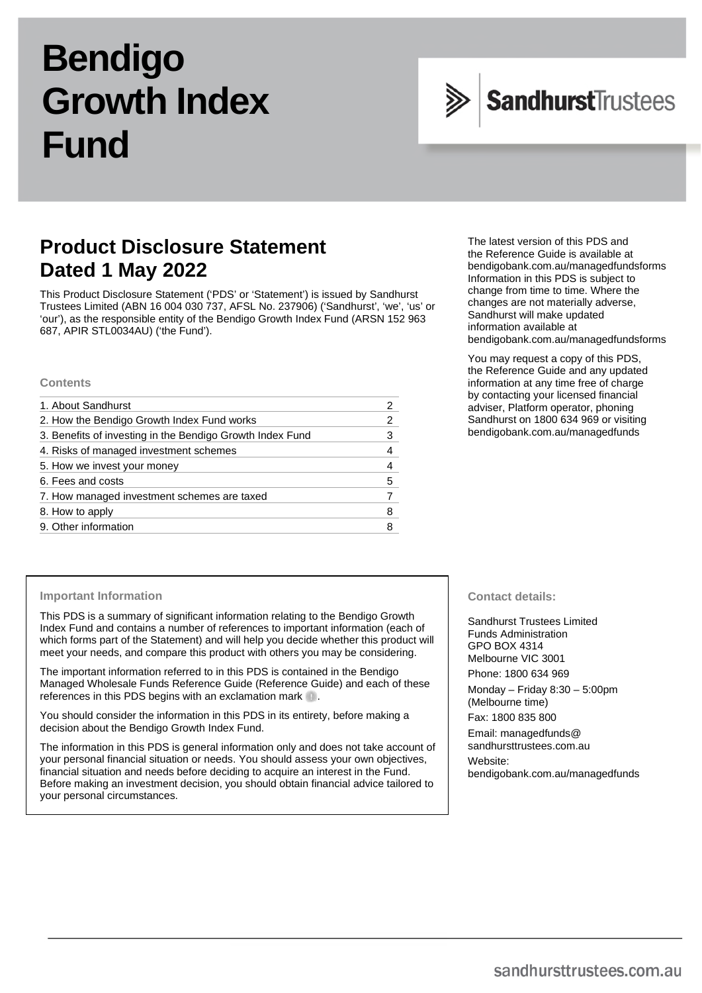# **Bendigo Growth Index Fund**



# **Product Disclosure Statement Dated 1 May 2022**

This Product Disclosure Statement ('PDS' or 'Statement') is issued by Sandhurst Trustees Limited (ABN 16 004 030 737, AFSL No. 237906) ('Sandhurst', 'we', 'us' or 'our'), as the responsible entity of the Bendigo Growth Index Fund (ARSN 152 963 687, APIR STL0034AU) ('the Fund').

#### **Contents**

| 1. About Sandhurst                                        |   |
|-----------------------------------------------------------|---|
| 2. How the Bendigo Growth Index Fund works                | 2 |
| 3. Benefits of investing in the Bendigo Growth Index Fund |   |
| 4. Risks of managed investment schemes                    | 4 |
| 5. How we invest your money                               |   |
| 6. Fees and costs                                         | 5 |
| 7. How managed investment schemes are taxed               |   |
| 8. How to apply                                           | 8 |
| 9. Other information                                      |   |

The latest version of this PDS and the Reference Guide is available at [bendigobank.com.au/managedfundsforms](https://www.bendigobank.com.au/managedfundsforms/) Information in this PDS is subject to change from time to time. Where the changes are not materially adverse, Sandhurst will make updated information available at [bendigobank.com.au/managedfundsf](https://www.bendigobank.com.au/managedfundsforms/)orms

You may request a copy of this PDS, the Reference Guide and any updated information at any time free of charge by contacting your licensed financial adviser, Platform operator, phoning Sandhurst on 1800 634 969 or visiting [bendigobank.com.au/managedfunds](https://www.bendigobank.com.au/managedfundsforms/)

#### **Important Information**

This PDS is a summary of significant information relating to the Bendigo Growth Index Fund and contains a number of references to important information (each of which forms part of the Statement) and will help you decide whether this product will meet your needs, and compare this product with others you may be considering.

The important information referred to in this PDS is contained in the Bendigo Managed Wholesale Funds Reference Guide (Reference Guide) and each of these references in this PDS begins with an exclamation mark  $\blacksquare$ .

You should consider the information in this PDS in its entirety, before making a decision about the Bendigo Growth Index Fund.

The information in this PDS is general information only and does not take account of your personal financial situation or needs. You should assess your own objectives, financial situation and needs before deciding to acquire an interest in the Fund. Before making an investment decision, you should obtain financial advice tailored to your personal circumstances.

#### **Contact details:**

Sandhurst Trustees Limited Funds Administration GPO BOX 4314 Melbourne VIC 3001 Phone: 1800 634 969

Monday – Friday 8:30 – 5:00pm (Melbourne time)

Fax: 1800 835 800

Email[: managedfunds@](mailto:managedfunds@sandhursttrustees.com.au)  [sandhursttrustees.com.au](mailto:managedfunds@sandhursttrustees.com.au) Website: [bendigobank.com.au/managedfunds](https://bendigobank.com.au/managedfundsforms)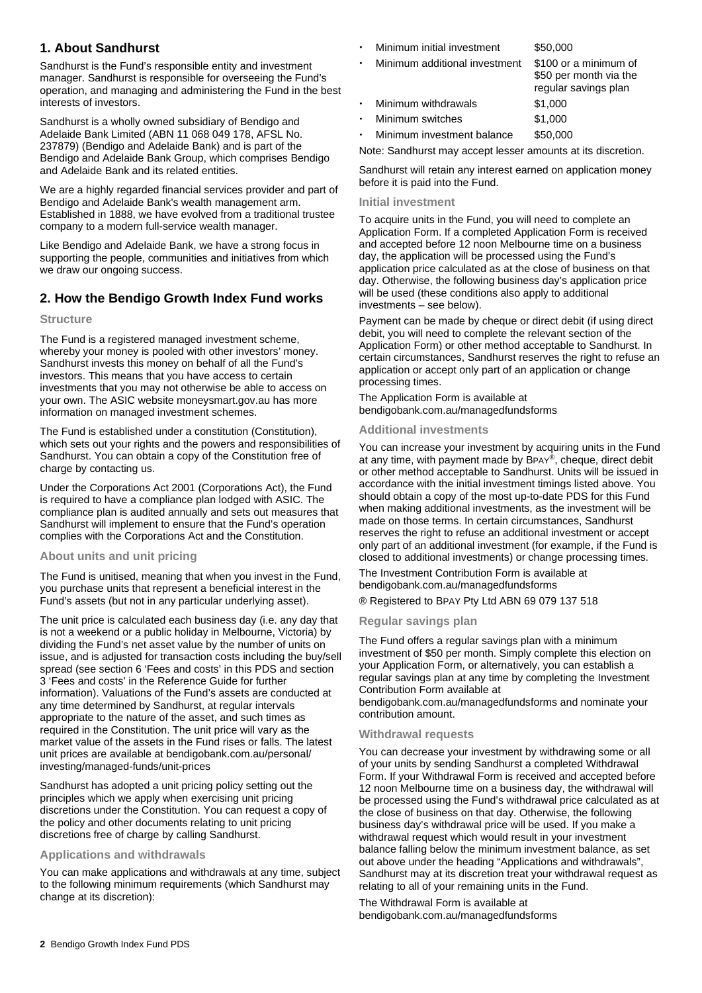# **1. About Sandhurst**

Sandhurst is the Fund's responsible entity and investment manager. Sandhurst is responsible for overseeing the Fund's operation, and managing and administering the Fund in the best interests of investors.

Sandhurst is a wholly owned subsidiary of Bendigo and Adelaide Bank Limited (ABN 11 068 049 178, AFSL No. 237879) (Bendigo and Adelaide Bank) and is part of the Bendigo and Adelaide Bank Group, which comprises Bendigo and Adelaide Bank and its related entities.

We are a highly regarded financial services provider and part of Bendigo and Adelaide Bank's wealth management arm. Established in 1888, we have evolved from a traditional trustee company to a modern full-service wealth manager.

Like Bendigo and Adelaide Bank, we have a strong focus in supporting the people, communities and initiatives from which we draw our ongoing success.

# **2. How the Bendigo Growth Index Fund works**

# **Structure**

The Fund is a registered managed investment scheme, whereby your money is pooled with other investors' money. Sandhurst invests this money on behalf of all the Fund's investors. This means that you have access to certain investments that you may not otherwise be able to access on your own. The ASIC website [moneysmart.gov.au](https://www.moneysmart.gov.au/) has more information on managed investment schemes.

The Fund is established under a constitution (Constitution), which sets out your rights and the powers and responsibilities of Sandhurst. You can obtain a copy of the Constitution free of charge by contacting us.

Under the Corporations Act 2001 (Corporations Act), the Fund is required to have a compliance plan lodged with ASIC. The compliance plan is audited annually and sets out measures that Sandhurst will implement to ensure that the Fund's operation complies with the Corporations Act and the Constitution.

# **About units and unit pricing**

The Fund is unitised, meaning that when you invest in the Fund, you purchase units that represent a beneficial interest in the Fund's assets (but not in any particular underlying asset).

The unit price is calculated each business day (i.e. any day that is not a weekend or a public holiday in Melbourne, Victoria) by dividing the Fund's net asset value by the number of units on issue, and is adjusted for transaction costs including the buy/sell spread (see section 6 'Fees and costs' in this PDS and section 3 'Fees and costs' in the Reference Guide for further information). Valuations of the Fund's assets are conducted at any time determined by Sandhurst, at regular intervals appropriate to the nature of the asset, and such times as required in the Constitution. The unit price will vary as the market value of the assets in the Fund rises or falls. The latest unit prices are available at [bendigobank.com.au/personal/](https://bendigobank.com.au/personal/investing/managed-funds/unit-prices)  [investing/managed-funds/unit-prices](https://bendigobank.com.au/personal/investing/managed-funds/unit-prices) 

Sandhurst has adopted a unit pricing policy setting out the principles which we apply when exercising unit pricing discretions under the Constitution. You can request a copy of the policy and other documents relating to unit pricing discretions free of charge by calling Sandhurst.

# **Applications and withdrawals**

You can make applications and withdrawals at any time, subject to the following minimum requirements (which Sandhurst may change at its discretion):

- Minimum initial investment \$50,000
	- Minimum additional investment \$100 or a minimum of \$50 per month via the regular savings plan Minimum withdrawals \$1,000
- Minimum switches \$1,000

Minimum investment balance \$50,000

Note: Sandhurst may accept lesser amounts at its discretion.

Sandhurst will retain any interest earned on application money before it is paid into the Fund.

#### **Initial investment**

To acquire units in the Fund, you will need to complete an Application Form. If a completed Application Form is received and accepted before 12 noon Melbourne time on a business day, the application will be processed using the Fund's application price calculated as at the close of business on that day. Otherwise, the following business day's application price will be used (these conditions also apply to additional investments – see below).

Payment can be made by cheque or direct debit (if using direct debit, you will need to complete the relevant section of the Application Form) or other method acceptable to Sandhurst. In certain circumstances, Sandhurst reserves the right to refuse an application or accept only part of an application or change processing times.

The Application Form is available at [bendigobank.com.au/managedfundsf](https://bendigobank.com.au/managedfundsforms)orms

# **Additional investments**

You can increase your investment by acquiring units in the Fund at any time, with payment made by BPAY®, cheque, direct debit or other method acceptable to Sandhurst. Units will be issued in accordance with the initial investment timings listed above. You should obtain a copy of the most up-to-date PDS for this Fund when making additional investments, as the investment will be made on those terms. In certain circumstances, Sandhurst reserves the right to refuse an additional investment or accept only part of an additional investment (for example, if the Fund is closed to additional investments) or change processing times.

The Investment Contribution Form is available at [bendigobank.com.au/managedfundsf](https://bendigobank.com.au/managedfundsforms)orms

® Registered to BPAY Pty Ltd ABN 69 079 137 518

# **Regular savings plan**

The Fund offers a regular savings plan with a minimum investment of \$50 per month. Simply complete this election on your Application Form, or alternatively, you can establish a regular savings plan at any time by completing the Investment Contribution Form available at

[bendigobank.com.au/managedfundsf](https://bendigobank.com.au/managedfundsforms)orms and nominate your contribution amount.

# **Withdrawal requests**

You can decrease your investment by withdrawing some or all of your units by sending Sandhurst a completed Withdrawal Form. If your Withdrawal Form is received and accepted before 12 noon Melbourne time on a business day, the withdrawal will be processed using the Fund's withdrawal price calculated as at the close of business on that day. Otherwise, the following business day's withdrawal price will be used. If you make a withdrawal request which would result in your investment balance falling below the minimum investment balance, as set out above under the heading "Applications and withdrawals", Sandhurst may at its discretion treat your withdrawal request as relating to all of your remaining units in the Fund.

The Withdrawal Form is available at [bendigobank.com.au/managedfundsf](https://bendigobank.com.au/managedfundsforms)orms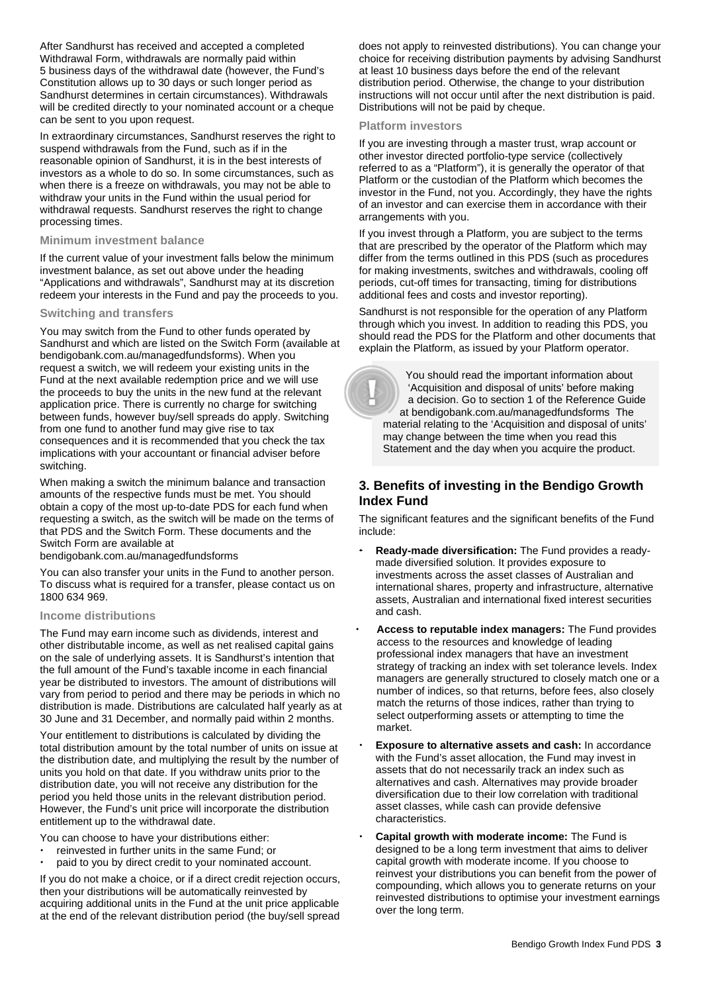After Sandhurst has received and accepted a completed Withdrawal Form, withdrawals are normally paid within 5 business days of the withdrawal date (however, the Fund's Constitution allows up to 30 days or such longer period as Sandhurst determines in certain circumstances). Withdrawals will be credited directly to your nominated account or a cheque can be sent to you upon request.

In extraordinary circumstances, Sandhurst reserves the right to suspend withdrawals from the Fund, such as if in the reasonable opinion of Sandhurst, it is in the best interests of investors as a whole to do so. In some circumstances, such as when there is a freeze on withdrawals, you may not be able to withdraw your units in the Fund within the usual period for withdrawal requests. Sandhurst reserves the right to change processing times.

#### **Minimum investment balance**

If the current value of your investment falls below the minimum investment balance, as set out above under the heading "Applications and withdrawals", Sandhurst may at its discretion redeem your interests in the Fund and pay the proceeds to you.

#### **Switching and transfers**

You may switch from the Fund to other funds operated by Sandhurst and which are listed on the Switch Form (available at [bendigobank.com.au/managedfundsf](https://bendigobank.com.au/managedfundsforms)orms). When you request a switch, we will redeem your existing units in the Fund at the next available redemption price and we will use the proceeds to buy the units in the new fund at the relevant application price. There is currently no charge for switching between funds, however buy/sell spreads do apply. Switching from one fund to another fund may give rise to tax consequences and it is recommended that you check the tax implications with your accountant or financial adviser before switching.

When making a switch the minimum balance and transaction amounts of the respective funds must be met. You should obtain a copy of the most up-to-date PDS for each fund when requesting a switch, as the switch will be made on the terms of that PDS and the Switch Form. These documents and the Switch Form are available at

[bendigobank.com.au/managedfundsf](https://bendigobank.com.au/managedfundsforms)orms

You can also transfer your units in the Fund to another person. To discuss what is required for a transfer, please contact us on 1800 634 969.

#### **Income distributions**

The Fund may earn income such as dividends, interest and other distributable income, as well as net realised capital gains on the sale of underlying assets. It is Sandhurst's intention that the full amount of the Fund's taxable income in each financial year be distributed to investors. The amount of distributions will vary from period to period and there may be periods in which no distribution is made. Distributions are calculated half yearly as at 30 June and 31 December, and normally paid within 2 months.

Your entitlement to distributions is calculated by dividing the total distribution amount by the total number of units on issue at the distribution date, and multiplying the result by the number of units you hold on that date. If you withdraw units prior to the distribution date, you will not receive any distribution for the period you held those units in the relevant distribution period. However, the Fund's unit price will incorporate the distribution entitlement up to the withdrawal date.

You can choose to have your distributions either:

- reinvested in further units in the same Fund; or
- paid to you by direct credit to your nominated account.

If you do not make a choice, or if a direct credit rejection occurs, then your distributions will be automatically reinvested by acquiring additional units in the Fund at the unit price applicable at the end of the relevant distribution period (the buy/sell spread does not apply to reinvested distributions). You can change your choice for receiving distribution payments by advising Sandhurst at least 10 business days before the end of the relevant distribution period. Otherwise, the change to your distribution instructions will not occur until after the next distribution is paid. Distributions will not be paid by cheque.

#### **Platform investors**

If you are investing through a master trust, wrap account or other investor directed portfolio-type service (collectively referred to as a "Platform"), it is generally the operator of that Platform or the custodian of the Platform which becomes the investor in the Fund, not you. Accordingly, they have the rights of an investor and can exercise them in accordance with their arrangements with you.

If you invest through a Platform, you are subject to the terms that are prescribed by the operator of the Platform which may differ from the terms outlined in this PDS (such as procedures for making investments, switches and withdrawals, cooling off periods, cut-off times for transacting, timing for distributions additional fees and costs and investor reporting).

Sandhurst is not responsible for the operation of any Platform through which you invest. In addition to reading this PDS, you should read the PDS for the Platform and other documents that explain the Platform, as issued by your Platform operator.

 You should read the important information about 'Acquisition and disposal of units' before making a decision. Go to section 1 of the Reference Guide at [bendigobank.com.au/managedfundsf](https://bendigobank.com.au/managedfundsforms)orms The material relating to the 'Acquisition and disposal of units' may change between the time when you read this Statement and the day when you acquire the product.

# **3. Benefits of investing in the Bendigo Growth Index Fund**

The significant features and the significant benefits of the Fund include:

- **Ready-made diversification:** The Fund provides a readymade diversified solution. It provides exposure to investments across the asset classes of Australian and international shares, property and infrastructure, alternative assets, Australian and international fixed interest securities and cash.
- **Access to reputable index managers:** The Fund provides access to the resources and knowledge of leading professional index managers that have an investment strategy of tracking an index with set tolerance levels. Index managers are generally structured to closely match one or a number of indices, so that returns, before fees, also closely match the returns of those indices, rather than trying to select outperforming assets or attempting to time the market.
- **Exposure to alternative assets and cash:** In accordance with the Fund's asset allocation, the Fund may invest in assets that do not necessarily track an index such as alternatives and cash. Alternatives may provide broader diversification due to their low correlation with traditional asset classes, while cash can provide defensive characteristics.
- **Capital growth with moderate income:** The Fund is designed to be a long term investment that aims to deliver capital growth with moderate income. If you choose to reinvest your distributions you can benefit from the power of compounding, which allows you to generate returns on your reinvested distributions to optimise your investment earnings over the long term.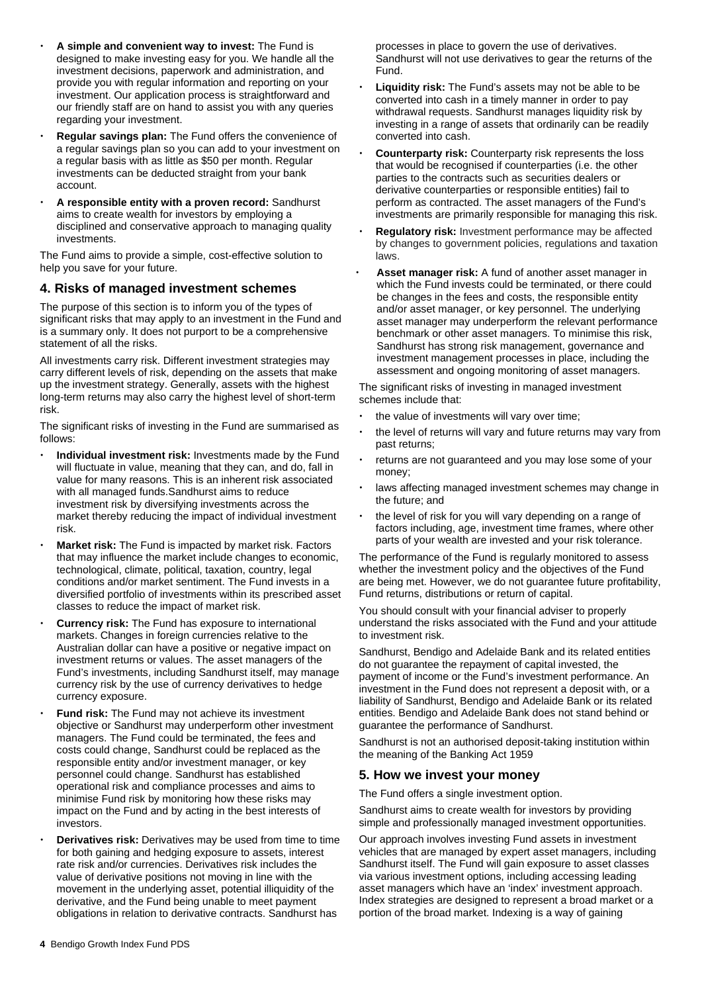- **A simple and convenient way to invest:** The Fund is designed to make investing easy for you. We handle all the investment decisions, paperwork and administration, and provide you with regular information and reporting on your investment. Our application process is straightforward and our friendly staff are on hand to assist you with any queries regarding your investment.
- **Regular savings plan:** The Fund offers the convenience of a regular savings plan so you can add to your investment on a regular basis with as little as \$50 per month. Regular investments can be deducted straight from your bank account.
- **A responsible entity with a proven record:** Sandhurst aims to create wealth for investors by employing a disciplined and conservative approach to managing quality investments.

The Fund aims to provide a simple, cost-effective solution to help you save for your future.

# **4. Risks of managed investment schemes**

The purpose of this section is to inform you of the types of significant risks that may apply to an investment in the Fund and is a summary only. It does not purport to be a comprehensive statement of all the risks.

All investments carry risk. Different investment strategies may carry different levels of risk, depending on the assets that make up the investment strategy. Generally, assets with the highest long-term returns may also carry the highest level of short-term risk.

The significant risks of investing in the Fund are summarised as follows:

- **Individual investment risk:** Investments made by the Fund will fluctuate in value, meaning that they can, and do, fall in value for many reasons. This is an inherent risk associated with all managed funds.Sandhurst aims to reduce investment risk by diversifying investments across the market thereby reducing the impact of individual investment risk.
- **Market risk:** The Fund is impacted by market risk. Factors that may influence the market include changes to economic, technological, climate, political, taxation, country, legal conditions and/or market sentiment. The Fund invests in a diversified portfolio of investments within its prescribed asset classes to reduce the impact of market risk.
- **Currency risk:** The Fund has exposure to international markets. Changes in foreign currencies relative to the Australian dollar can have a positive or negative impact on investment returns or values. The asset managers of the Fund's investments, including Sandhurst itself, may manage currency risk by the use of currency derivatives to hedge currency exposure.
- **Fund risk:** The Fund may not achieve its investment objective or Sandhurst may underperform other investment managers. The Fund could be terminated, the fees and costs could change, Sandhurst could be replaced as the responsible entity and/or investment manager, or key personnel could change. Sandhurst has established operational risk and compliance processes and aims to minimise Fund risk by monitoring how these risks may impact on the Fund and by acting in the best interests of investors.
- **Derivatives risk:** Derivatives may be used from time to time for both gaining and hedging exposure to assets, interest rate risk and/or currencies. Derivatives risk includes the value of derivative positions not moving in line with the movement in the underlying asset, potential illiquidity of the derivative, and the Fund being unable to meet payment obligations in relation to derivative contracts. Sandhurst has

processes in place to govern the use of derivatives. Sandhurst will not use derivatives to gear the returns of the Fund.

- **Liquidity risk:** The Fund's assets may not be able to be converted into cash in a timely manner in order to pay withdrawal requests. Sandhurst manages liquidity risk by investing in a range of assets that ordinarily can be readily converted into cash.
- **Counterparty risk:** Counterparty risk represents the loss that would be recognised if counterparties (i.e. the other parties to the contracts such as securities dealers or derivative counterparties or responsible entities) fail to perform as contracted. The asset managers of the Fund's investments are primarily responsible for managing this risk.
- **Regulatory risk:** Investment performance may be affected by changes to government policies, regulations and taxation laws.
- **Asset manager risk:** A fund of another asset manager in which the Fund invests could be terminated, or there could be changes in the fees and costs, the responsible entity and/or asset manager, or key personnel. The underlying asset manager may underperform the relevant performance benchmark or other asset managers. To minimise this risk, Sandhurst has strong risk management, governance and investment management processes in place, including the assessment and ongoing monitoring of asset managers.

The significant risks of investing in managed investment schemes include that:

- the value of investments will vary over time;
- the level of returns will vary and future returns may vary from past returns;
- returns are not guaranteed and you may lose some of your money;
- laws affecting managed investment schemes may change in the future; and
- the level of risk for you will vary depending on a range of factors including, age, investment time frames, where other parts of your wealth are invested and your risk tolerance.

The performance of the Fund is regularly monitored to assess whether the investment policy and the objectives of the Fund are being met. However, we do not guarantee future profitability, Fund returns, distributions or return of capital.

You should consult with your financial adviser to properly understand the risks associated with the Fund and your attitude to investment risk.

Sandhurst, Bendigo and Adelaide Bank and its related entities do not guarantee the repayment of capital invested, the payment of income or the Fund's investment performance. An investment in the Fund does not represent a deposit with, or a liability of Sandhurst, Bendigo and Adelaide Bank or its related entities. Bendigo and Adelaide Bank does not stand behind or guarantee the performance of Sandhurst.

Sandhurst is not an authorised deposit-taking institution within the meaning of the Banking Act 1959

# **5. How we invest your money**

The Fund offers a single investment option.

Sandhurst aims to create wealth for investors by providing simple and professionally managed investment opportunities.

Our approach involves investing Fund assets in investment vehicles that are managed by expert asset managers, including Sandhurst itself. The Fund will gain exposure to asset classes via various investment options, including accessing leading asset managers which have an 'index' investment approach. Index strategies are designed to represent a broad market or a portion of the broad market. Indexing is a way of gaining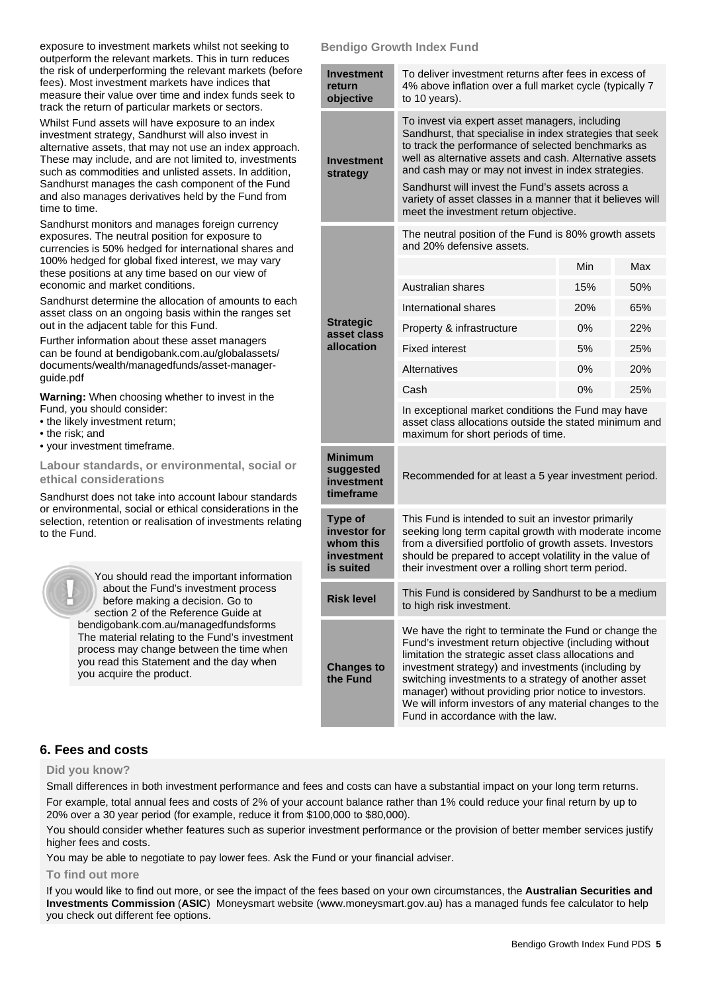exposure to investment markets whilst not seeking to outperform the relevant markets. This in turn reduces the risk of underperforming the relevant markets (before fees). Most investment markets have indices that measure their value over time and index funds seek to track the return of particular markets or sectors.

Whilst Fund assets will have exposure to an index investment strategy, Sandhurst will also invest in alternative assets, that may not use an index approach. These may include, and are not limited to, investments such as commodities and unlisted assets. In addition, Sandhurst manages the cash component of the Fund and also manages derivatives held by the Fund from time to time.

Sandhurst monitors and manages foreign currency exposures. The neutral position for exposure to currencies is 50% hedged for international shares and 100% hedged for global fixed interest, we may vary these positions at any time based on our view of economic and market conditions.

Sandhurst determine the allocation of amounts to each asset class on an ongoing basis within the ranges set out in the adjacent table for this Fund.

Further information about these asset managers can be found a[t bendigobank.com.au/globalassets/](https://www.bendigobank.com.au/globalassets/documents/wealth/managedfunds/asset-manager-guide.pdf)  [documents/wealth/managedfunds/asset-manager](https://www.bendigobank.com.au/globalassets/documents/wealth/managedfunds/asset-manager-guide.pdf)[guide.pdf](https://www.bendigobank.com.au/globalassets/documents/wealth/managedfunds/asset-manager-guide.pdf) 

**Warning:** When choosing whether to invest in the Fund, you should consider:

- the likely investment return;
- the risk; and
- your investment timeframe.

**Labour standards, or environmental, social or ethical considerations** 

Sandhurst does not take into account labour standards or environmental, social or ethical considerations in the selection, retention or realisation of investments relating to the Fund.



 You should read the important information about the Fund's investment process before making a decision. Go to section 2 of the Reference Guide at [bendigobank.com.au/managedfundsf](https://bendigobank.com.au/managedfundsforms)orms The material relating to the Fund's investment process may change between the time when you read this Statement and the day when you acquire the product.

# **Bendigo Growth Index Fund**

| Investment<br>return<br>objective                               | To deliver investment returns after fees in excess of<br>4% above inflation over a full market cycle (typically 7<br>to 10 years).                                                                                                                                                                                                                                                                                                            |       |            |  |
|-----------------------------------------------------------------|-----------------------------------------------------------------------------------------------------------------------------------------------------------------------------------------------------------------------------------------------------------------------------------------------------------------------------------------------------------------------------------------------------------------------------------------------|-------|------------|--|
| Investment<br>strategy                                          | To invest via expert asset managers, including<br>Sandhurst, that specialise in index strategies that seek<br>to track the performance of selected benchmarks as<br>well as alternative assets and cash. Alternative assets<br>and cash may or may not invest in index strategies.<br>Sandhurst will invest the Fund's assets across a<br>variety of asset classes in a manner that it believes will<br>meet the investment return objective. |       |            |  |
|                                                                 | The neutral position of the Fund is 80% growth assets<br>and 20% defensive assets.                                                                                                                                                                                                                                                                                                                                                            |       |            |  |
|                                                                 |                                                                                                                                                                                                                                                                                                                                                                                                                                               | Min   | Max        |  |
|                                                                 | Australian shares                                                                                                                                                                                                                                                                                                                                                                                                                             | 15%   | 50%        |  |
| <b>Strategic</b><br>asset class                                 | International shares                                                                                                                                                                                                                                                                                                                                                                                                                          | 20%   | 65%        |  |
|                                                                 | Property & infrastructure                                                                                                                                                                                                                                                                                                                                                                                                                     | $0\%$ | 22%        |  |
| allocation                                                      | <b>Fixed interest</b>                                                                                                                                                                                                                                                                                                                                                                                                                         | 5%    | 25%        |  |
|                                                                 | Alternatives                                                                                                                                                                                                                                                                                                                                                                                                                                  | $0\%$ | <b>20%</b> |  |
|                                                                 | Cash                                                                                                                                                                                                                                                                                                                                                                                                                                          | $0\%$ | 25%        |  |
|                                                                 | In exceptional market conditions the Fund may have<br>asset class allocations outside the stated minimum and<br>maximum for short periods of time.                                                                                                                                                                                                                                                                                            |       |            |  |
| <b>Minimum</b><br>suggested<br>investment<br>timeframe          | Recommended for at least a 5 year investment period.                                                                                                                                                                                                                                                                                                                                                                                          |       |            |  |
| Type of<br>investor for<br>whom this<br>investment<br>is suited | This Fund is intended to suit an investor primarily<br>seeking long term capital growth with moderate income<br>from a diversified portfolio of growth assets. Investors<br>should be prepared to accept volatility in the value of<br>their investment over a rolling short term period.                                                                                                                                                     |       |            |  |
| <b>Risk level</b>                                               | This Fund is considered by Sandhurst to be a medium<br>to high risk investment.                                                                                                                                                                                                                                                                                                                                                               |       |            |  |
| <b>Changes to</b><br>the Fund                                   | We have the right to terminate the Fund or change the<br>Fund's investment return objective (including without<br>limitation the strategic asset class allocations and<br>investment strategy) and investments (including by<br>switching investments to a strategy of another asset<br>manager) without providing prior notice to investors.<br>We will inform investors of any material changes to the<br>Fund in accordance with the law.  |       |            |  |

# **6. Fees and costs**

#### **Did you know?**

Small differences in both investment performance and fees and costs can have a substantial impact on your long term returns. For example, total annual fees and costs of 2% of your account balance rather than 1% could reduce your final return by up to 20% over a 30 year period (for example, reduce it from \$100,000 to \$80,000).

You should consider whether features such as superior investment performance or the provision of better member services justify higher fees and costs.

You may be able to negotiate to pay lower fees. Ask the Fund or your financial adviser.

#### **To find out more**

If you would like to find out more, or see the impact of the fees based on your own circumstances, the **Australian Securities and Investments Commission** (**ASIC**) Moneysmart website (www[.moneysmart.gov.au\)](https://www.moneysmart.gov.au/) has a managed funds fee calculator to help you check out different fee options.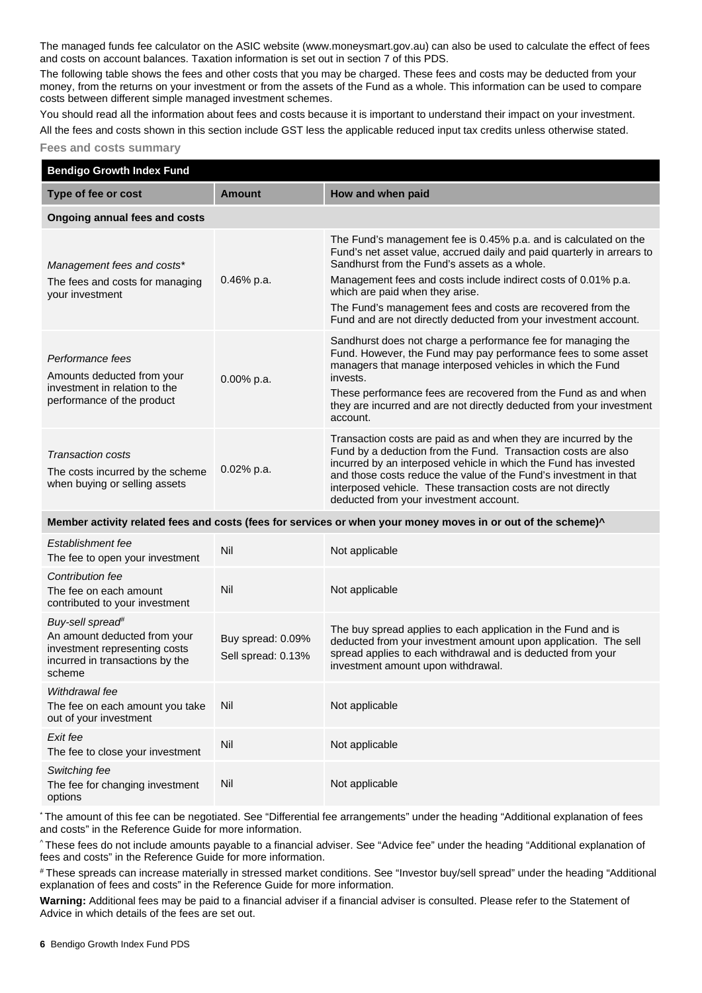The managed funds fee calculator on the ASIC website (ww[w.moneysmart.gov.au\)](https://www.moneysmart.gov.au/) can also be used to calculate the effect of fees and costs on account balances. Taxation information is set out in section 7 of this PDS.

The following table shows the fees and other costs that you may be charged. These fees and costs may be deducted from your money, from the returns on your investment or from the assets of the Fund as a whole. This information can be used to compare costs between different simple managed investment schemes.

You should read all the information about fees and costs because it is important to understand their impact on your investment. All the fees and costs shown in this section include GST less the applicable reduced input tax credits unless otherwise stated.

#### **Fees and costs summary**

| <b>Bendigo Growth Index Fund</b>                                                                                                           |                                         |                                                                                                                                                                                                                                                                                                                                                                                                                                    |  |  |  |
|--------------------------------------------------------------------------------------------------------------------------------------------|-----------------------------------------|------------------------------------------------------------------------------------------------------------------------------------------------------------------------------------------------------------------------------------------------------------------------------------------------------------------------------------------------------------------------------------------------------------------------------------|--|--|--|
| Type of fee or cost                                                                                                                        | <b>Amount</b>                           | How and when paid                                                                                                                                                                                                                                                                                                                                                                                                                  |  |  |  |
| Ongoing annual fees and costs                                                                                                              |                                         |                                                                                                                                                                                                                                                                                                                                                                                                                                    |  |  |  |
| Management fees and costs*<br>The fees and costs for managing<br>your investment                                                           | 0.46% p.a.                              | The Fund's management fee is 0.45% p.a. and is calculated on the<br>Fund's net asset value, accrued daily and paid quarterly in arrears to<br>Sandhurst from the Fund's assets as a whole.<br>Management fees and costs include indirect costs of 0.01% p.a.<br>which are paid when they arise.<br>The Fund's management fees and costs are recovered from the<br>Fund and are not directly deducted from your investment account. |  |  |  |
| Performance fees<br>Amounts deducted from your<br>investment in relation to the<br>performance of the product                              | 0.00% p.a.                              | Sandhurst does not charge a performance fee for managing the<br>Fund. However, the Fund may pay performance fees to some asset<br>managers that manage interposed vehicles in which the Fund<br>invests.<br>These performance fees are recovered from the Fund as and when<br>they are incurred and are not directly deducted from your investment<br>account.                                                                     |  |  |  |
| <b>Transaction costs</b><br>The costs incurred by the scheme<br>when buying or selling assets                                              | 0.02% p.a.                              | Transaction costs are paid as and when they are incurred by the<br>Fund by a deduction from the Fund. Transaction costs are also<br>incurred by an interposed vehicle in which the Fund has invested<br>and those costs reduce the value of the Fund's investment in that<br>interposed vehicle. These transaction costs are not directly<br>deducted from your investment account.                                                |  |  |  |
| Member activity related fees and costs (fees for services or when your money moves in or out of the scheme)^                               |                                         |                                                                                                                                                                                                                                                                                                                                                                                                                                    |  |  |  |
| Establishment fee<br>The fee to open your investment                                                                                       | Nil                                     | Not applicable                                                                                                                                                                                                                                                                                                                                                                                                                     |  |  |  |
| Contribution fee<br>The fee on each amount<br>contributed to your investment                                                               | Nil                                     | Not applicable                                                                                                                                                                                                                                                                                                                                                                                                                     |  |  |  |
| Buy-sell spread <sup>#</sup><br>An amount deducted from your<br>investment representing costs<br>incurred in transactions by the<br>scheme | Buy spread: 0.09%<br>Sell spread: 0.13% | The buy spread applies to each application in the Fund and is<br>deducted from your investment amount upon application. The sell<br>spread applies to each withdrawal and is deducted from your<br>investment amount upon withdrawal.                                                                                                                                                                                              |  |  |  |
| Withdrawal fee<br>The fee on each amount you take<br>out of your investment                                                                | Nil                                     | Not applicable                                                                                                                                                                                                                                                                                                                                                                                                                     |  |  |  |
| Exit fee<br>The fee to close your investment                                                                                               | Nil                                     | Not applicable                                                                                                                                                                                                                                                                                                                                                                                                                     |  |  |  |
| Switching fee<br>The fee for changing investment<br>options                                                                                | Nil                                     | Not applicable                                                                                                                                                                                                                                                                                                                                                                                                                     |  |  |  |

\* The amount of this fee can be negotiated. See "Differential fee arrangements" under the heading "Additional explanation of fees and costs" in the Reference Guide for more information.

^ These fees do not include amounts payable to a financial adviser. See "Advice fee" under the heading "Additional explanation of fees and costs" in the Reference Guide for more information.

# These spreads can increase materially in stressed market conditions. See "Investor buy/sell spread" under the heading "Additional explanation of fees and costs" in the Reference Guide for more information.

**Warning:** Additional fees may be paid to a financial adviser if a financial adviser is consulted. Please refer to the Statement of Advice in which details of the fees are set out.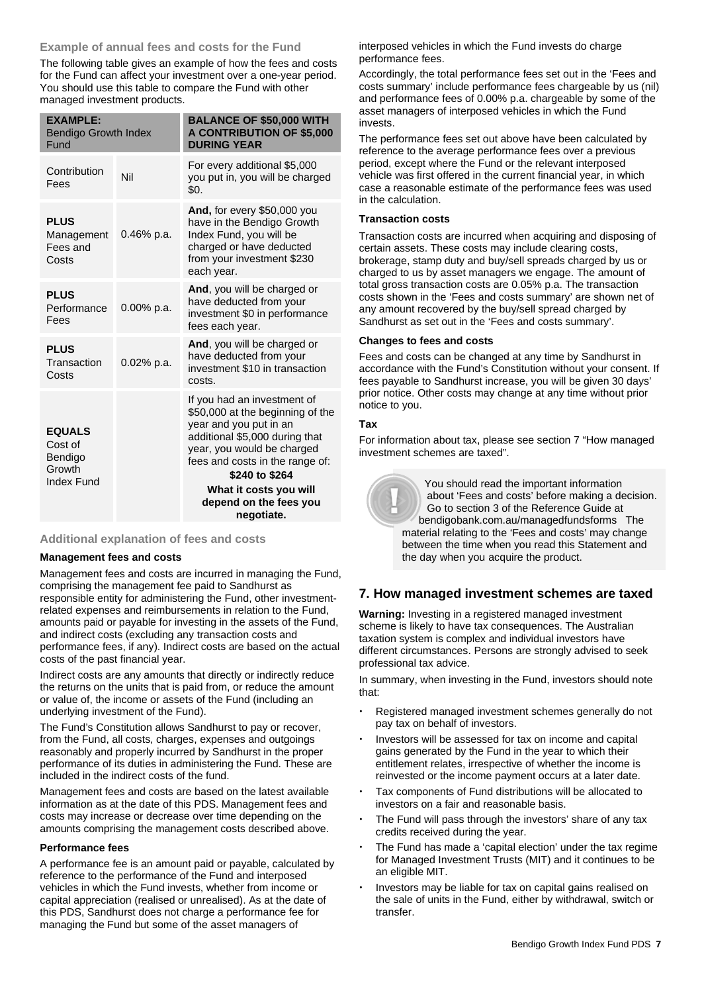# **Example of annual fees and costs for the Fund**

The following table gives an example of how the fees and costs for the Fund can affect your investment over a one-year period. You should use this table to compare the Fund with other managed investment products.

| <b>EXAMPLE:</b><br><b>Bendigo Growth Index</b><br>Fund             |               | <b>BALANCE OF \$50,000 WITH</b><br><b>A CONTRIBUTION OF \$5,000</b><br><b>DURING YEAR</b>                                                                                                                                                                                        |
|--------------------------------------------------------------------|---------------|----------------------------------------------------------------------------------------------------------------------------------------------------------------------------------------------------------------------------------------------------------------------------------|
| Contribution<br>Fees                                               | Nil           | For every additional \$5,000<br>you put in, you will be charged<br>\$0.                                                                                                                                                                                                          |
| <b>PLUS</b><br>Management<br>Fees and<br>Costs                     | $0.46\%$ p.a. | And, for every \$50,000 you<br>have in the Bendigo Growth<br>Index Fund, you will be<br>charged or have deducted<br>from your investment \$230<br>each year.                                                                                                                     |
| <b>PLUS</b><br>Performance<br>Fees                                 | 0.00% p.a.    | And, you will be charged or<br>have deducted from your<br>investment \$0 in performance<br>fees each year.                                                                                                                                                                       |
| <b>PLUS</b><br>Transaction<br>Costs                                | 0.02% p.a.    | And, you will be charged or<br>have deducted from your<br>investment \$10 in transaction<br>costs.                                                                                                                                                                               |
| <b>EQUALS</b><br>Cost of<br>Bendigo<br>Growth<br><b>Index Fund</b> |               | If you had an investment of<br>\$50,000 at the beginning of the<br>year and you put in an<br>additional \$5,000 during that<br>year, you would be charged<br>fees and costs in the range of:<br>\$240 to \$264<br>What it costs you will<br>depend on the fees you<br>negotiate. |

# **Additional explanation of fees and costs**

#### **Management fees and costs**

Management fees and costs are incurred in managing the Fund, comprising the management fee paid to Sandhurst as responsible entity for administering the Fund, other investmentrelated expenses and reimbursements in relation to the Fund, amounts paid or payable for investing in the assets of the Fund, and indirect costs (excluding any transaction costs and performance fees, if any). Indirect costs are based on the actual costs of the past financial year.

Indirect costs are any amounts that directly or indirectly reduce the returns on the units that is paid from, or reduce the amount or value of, the income or assets of the Fund (including an underlying investment of the Fund).

The Fund's Constitution allows Sandhurst to pay or recover, from the Fund, all costs, charges, expenses and outgoings reasonably and properly incurred by Sandhurst in the proper performance of its duties in administering the Fund. These are included in the indirect costs of the fund.

Management fees and costs are based on the latest available information as at the date of this PDS. Management fees and costs may increase or decrease over time depending on the amounts comprising the management costs described above.

#### **Performance fees**

A performance fee is an amount paid or payable, calculated by reference to the performance of the Fund and interposed vehicles in which the Fund invests, whether from income or capital appreciation (realised or unrealised). As at the date of this PDS, Sandhurst does not charge a performance fee for managing the Fund but some of the asset managers of

interposed vehicles in which the Fund invests do charge performance fees.

Accordingly, the total performance fees set out in the 'Fees and costs summary' include performance fees chargeable by us (nil) and performance fees of 0.00% p.a. chargeable by some of the asset managers of interposed vehicles in which the Fund invests.

The performance fees set out above have been calculated by reference to the average performance fees over a previous period, except where the Fund or the relevant interposed vehicle was first offered in the current financial year, in which case a reasonable estimate of the performance fees was used in the calculation.

#### **Transaction costs**

Transaction costs are incurred when acquiring and disposing of certain assets. These costs may include clearing costs, brokerage, stamp duty and buy/sell spreads charged by us or charged to us by asset managers we engage. The amount of total gross transaction costs are 0.05% p.a. The transaction costs shown in the 'Fees and costs summary' are shown net of any amount recovered by the buy/sell spread charged by Sandhurst as set out in the 'Fees and costs summary'.

#### **Changes to fees and costs**

Fees and costs can be changed at any time by Sandhurst in accordance with the Fund's Constitution without your consent. If fees payable to Sandhurst increase, you will be given 30 days' prior notice. Other costs may change at any time without prior notice to you.

#### **Tax**

For information about tax, please see section 7 "How managed investment schemes are taxed".

> You should read the important information about 'Fees and costs' before making a decision. Go to section 3 of the Reference Guide at [bendigobank.com.au/managedfundsf](https://bendigobank.com.au/managedfundsforms)orms The material relating to the 'Fees and costs' may change between the time when you read this Statement and the day when you acquire the product.

# **7. How managed investment schemes are taxed**

**Warning:** Investing in a registered managed investment scheme is likely to have tax consequences. The Australian taxation system is complex and individual investors have different circumstances. Persons are strongly advised to seek professional tax advice.

In summary, when investing in the Fund, investors should note that:

- Registered managed investment schemes generally do not pay tax on behalf of investors.
- Investors will be assessed for tax on income and capital gains generated by the Fund in the year to which their entitlement relates, irrespective of whether the income is reinvested or the income payment occurs at a later date.
- Tax components of Fund distributions will be allocated to investors on a fair and reasonable basis.
- The Fund will pass through the investors' share of any tax credits received during the year.
- The Fund has made a 'capital election' under the tax regime for Managed Investment Trusts (MIT) and it continues to be an eligible MIT.
- Investors may be liable for tax on capital gains realised on the sale of units in the Fund, either by withdrawal, switch or transfer.